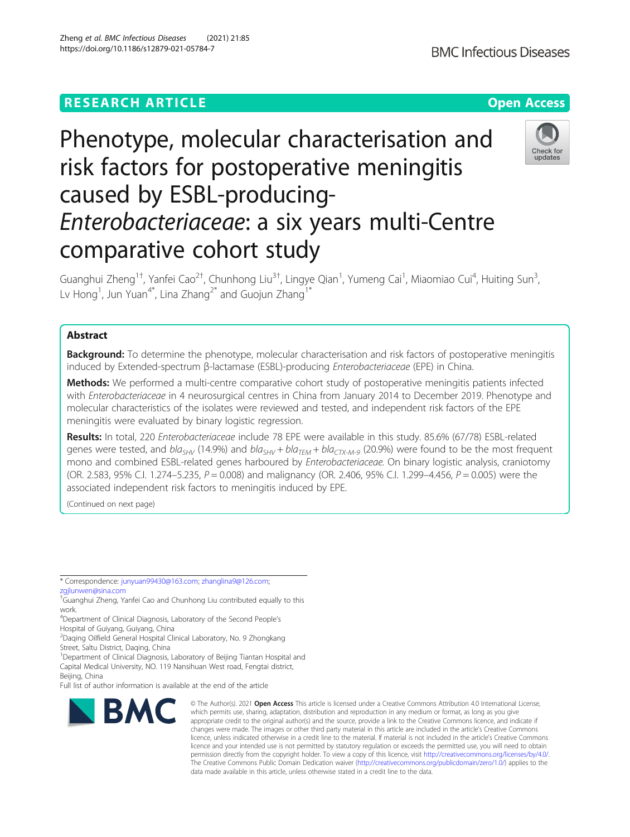## **RESEARCH ARTICLE Example 2014 12:30 The Contract of Contract ACCESS**

# Phenotype, molecular characterisation and risk factors for postoperative meningitis caused by ESBL-producing-Enterobacteriaceae: a six years multi-Centre comparative cohort study

Guanghui Zheng<sup>1†</sup>, Yanfei Cao<sup>2†</sup>, Chunhong Liu<sup>3†</sup>, Lingye Qian<sup>1</sup>, Yumeng Cai<sup>1</sup>, Miaomiao Cui<sup>4</sup>, Huiting Sun<sup>3</sup> , Lv Hong $^1$ , Jun Yuan $^{4^\ast}$ , Lina Zhang $^{2^\ast}$  and Guojun Zhang $^{1^\ast}$ 

## Abstract

**Background:** To determine the phenotype, molecular characterisation and risk factors of postoperative meningitis induced by Extended-spectrum <sup>β</sup>-lactamase (ESBL)-producing Enterobacteriaceae (EPE) in China.

Methods: We performed a multi-centre comparative cohort study of postoperative meningitis patients infected with Enterobacteriaceae in 4 neurosurgical centres in China from January 2014 to December 2019. Phenotype and molecular characteristics of the isolates were reviewed and tested, and independent risk factors of the EPE meningitis were evaluated by binary logistic regression.

Results: In total, 220 Enterobacteriaceae include 78 EPE were available in this study. 85.6% (67/78) ESBL-related genes were tested, and  $bla_{SHV}$  (14.9%) and  $bla_{SHV}$  +  $bla_{TEM}$  +  $bla_{CK-M-9}$  (20.9%) were found to be the most frequent mono and combined ESBL-related genes harboured by Enterobacteriaceae. On binary logistic analysis, craniotomy (OR. 2.583, 95% C.I. 1.274–5.235,  $P = 0.008$ ) and malignancy (OR. 2.406, 95% C.I. 1.299–4.456,  $P = 0.005$ ) were the associated independent risk factors to meningitis induced by EPE.

(Continued on next page)

\* Correspondence: [junyuan99430@163.com](mailto:junyuan99430@163.com); [zhanglina9@126.com;](mailto:zhanglina9@126.com)

[zgjlunwen@sina.com](mailto:zgjlunwen@sina.com)

2 Daqing Oilfield General Hospital Clinical Laboratory, No. 9 Zhongkang Street, Saltu District, Daqing, China

<sup>1</sup>Department of Clinical Diagnosis, Laboratory of Beijing Tiantan Hospital and Capital Medical University, NO. 119 Nansihuan West road, Fengtai district,

Beijing, China

Full list of author information is available at the end of the article

**BMC** 

#### © The Author(s), 2021 **Open Access** This article is licensed under a Creative Commons Attribution 4.0 International License, which permits use, sharing, adaptation, distribution and reproduction in any medium or format, as long as you give appropriate credit to the original author(s) and the source, provide a link to the Creative Commons licence, and indicate if changes were made. The images or other third party material in this article are included in the article's Creative Commons licence, unless indicated otherwise in a credit line to the material. If material is not included in the article's Creative Commons licence and your intended use is not permitted by statutory regulation or exceeds the permitted use, you will need to obtain permission directly from the copyright holder. To view a copy of this licence, visit [http://creativecommons.org/licenses/by/4.0/.](http://creativecommons.org/licenses/by/4.0/) The Creative Commons Public Domain Dedication waiver [\(http://creativecommons.org/publicdomain/zero/1.0/](http://creativecommons.org/publicdomain/zero/1.0/)) applies to the data made available in this article, unless otherwise stated in a credit line to the data.

Zheng et al. BMC Infectious Diseases (2021) 21:85 https://doi.org/10.1186/s12879-021-05784-7







<sup>†</sup> Guanghui Zheng, Yanfei Cao and Chunhong Liu contributed equally to this work.

<sup>&</sup>lt;sup>4</sup>Department of Clinical Diagnosis, Laboratory of the Second People's Hospital of Guiyang, Guiyang, China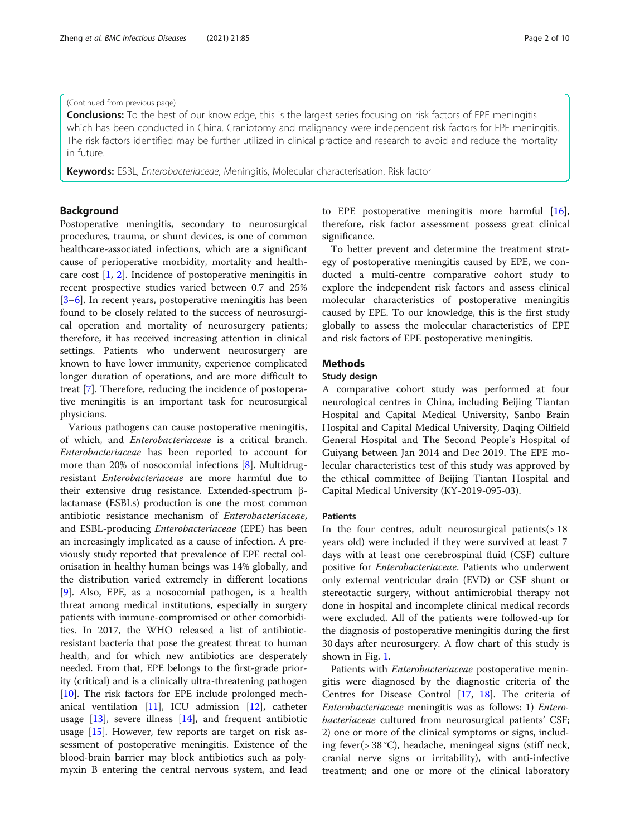#### (Continued from previous page)

Conclusions: To the best of our knowledge, this is the largest series focusing on risk factors of EPE meningitis which has been conducted in China. Craniotomy and malignancy were independent risk factors for EPE meningitis. The risk factors identified may be further utilized in clinical practice and research to avoid and reduce the mortality in future.

Keywords: ESBL, Enterobacteriaceae, Meningitis, Molecular characterisation, Risk factor

## Background

Postoperative meningitis, secondary to neurosurgical procedures, trauma, or shunt devices, is one of common healthcare-associated infections, which are a significant cause of perioperative morbidity, mortality and healthcare cost [[1,](#page-8-0) [2](#page-8-0)]. Incidence of postoperative meningitis in recent prospective studies varied between 0.7 and 25% [[3](#page-8-0)–[6\]](#page-8-0). In recent years, postoperative meningitis has been found to be closely related to the success of neurosurgical operation and mortality of neurosurgery patients; therefore, it has received increasing attention in clinical settings. Patients who underwent neurosurgery are known to have lower immunity, experience complicated longer duration of operations, and are more difficult to treat [[7](#page-8-0)]. Therefore, reducing the incidence of postoperative meningitis is an important task for neurosurgical physicians.

Various pathogens can cause postoperative meningitis, of which, and Enterobacteriaceae is a critical branch. Enterobacteriaceae has been reported to account for more than 20% of nosocomial infections [[8\]](#page-8-0). Multidrugresistant Enterobacteriaceae are more harmful due to their extensive drug resistance. Extended-spectrum βlactamase (ESBLs) production is one the most common antibiotic resistance mechanism of Enterobacteriaceae, and ESBL-producing Enterobacteriaceae (EPE) has been an increasingly implicated as a cause of infection. A previously study reported that prevalence of EPE rectal colonisation in healthy human beings was 14% globally, and the distribution varied extremely in different locations [[9\]](#page-8-0). Also, EPE, as a nosocomial pathogen, is a health threat among medical institutions, especially in surgery patients with immune-compromised or other comorbidities. In 2017, the WHO released a list of antibioticresistant bacteria that pose the greatest threat to human health, and for which new antibiotics are desperately needed. From that, EPE belongs to the first-grade priority (critical) and is a clinically ultra-threatening pathogen [[10\]](#page-8-0). The risk factors for EPE include prolonged mechanical ventilation [[11\]](#page-8-0), ICU admission [[12\]](#page-8-0), catheter usage  $[13]$  $[13]$ , severe illness  $[14]$  $[14]$ , and frequent antibiotic usage [[15](#page-8-0)]. However, few reports are target on risk assessment of postoperative meningitis. Existence of the blood-brain barrier may block antibiotics such as polymyxin B entering the central nervous system, and lead to EPE postoperative meningitis more harmful [\[16](#page-8-0)], therefore, risk factor assessment possess great clinical significance.

To better prevent and determine the treatment strategy of postoperative meningitis caused by EPE, we conducted a multi-centre comparative cohort study to explore the independent risk factors and assess clinical molecular characteristics of postoperative meningitis caused by EPE. To our knowledge, this is the first study globally to assess the molecular characteristics of EPE and risk factors of EPE postoperative meningitis.

## Methods

#### Study design

A comparative cohort study was performed at four neurological centres in China, including Beijing Tiantan Hospital and Capital Medical University, Sanbo Brain Hospital and Capital Medical University, Daqing Oilfield General Hospital and The Second People's Hospital of Guiyang between Jan 2014 and Dec 2019. The EPE molecular characteristics test of this study was approved by the ethical committee of Beijing Tiantan Hospital and Capital Medical University (KY-2019-095-03).

#### Patients

In the four centres, adult neurosurgical patients $(> 18$ years old) were included if they were survived at least 7 days with at least one cerebrospinal fluid (CSF) culture positive for Enterobacteriaceae. Patients who underwent only external ventricular drain (EVD) or CSF shunt or stereotactic surgery, without antimicrobial therapy not done in hospital and incomplete clinical medical records were excluded. All of the patients were followed-up for the diagnosis of postoperative meningitis during the first 30 days after neurosurgery. A flow chart of this study is shown in Fig. [1](#page-2-0).

Patients with Enterobacteriaceae postoperative meningitis were diagnosed by the diagnostic criteria of the Centres for Disease Control [[17,](#page-8-0) [18](#page-8-0)]. The criteria of Enterobacteriaceae meningitis was as follows: 1) Enterobacteriaceae cultured from neurosurgical patients' CSF; 2) one or more of the clinical symptoms or signs, including fever(> 38 °C), headache, meningeal signs (stiff neck, cranial nerve signs or irritability), with anti-infective treatment; and one or more of the clinical laboratory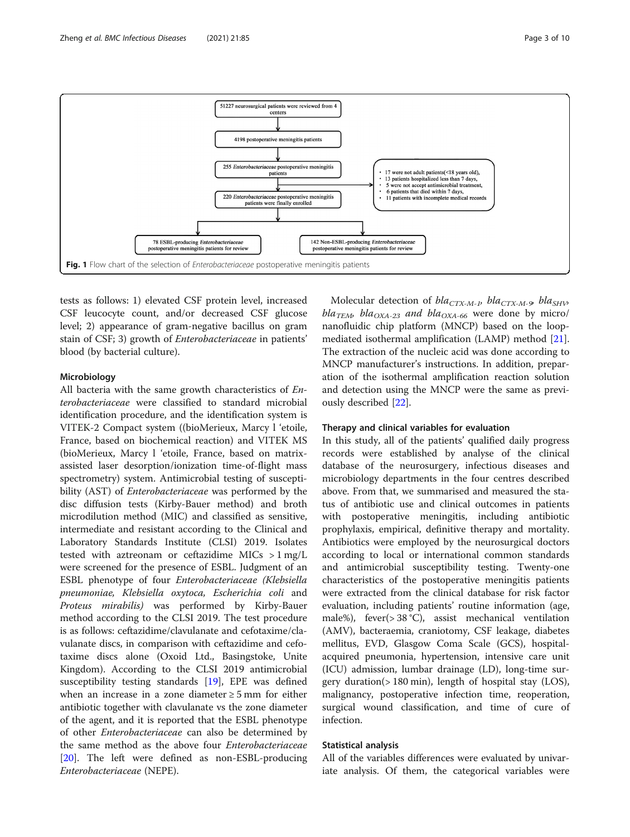<span id="page-2-0"></span>

tests as follows: 1) elevated CSF protein level, increased CSF leucocyte count, and/or decreased CSF glucose level; 2) appearance of gram-negative bacillus on gram stain of CSF; 3) growth of Enterobacteriaceae in patients' blood (by bacterial culture).

## Microbiology

All bacteria with the same growth characteristics of Enterobacteriaceae were classified to standard microbial identification procedure, and the identification system is VITEK-2 Compact system ((bioMerieux, Marcy l 'etoile, France, based on biochemical reaction) and VITEK MS (bioMerieux, Marcy l 'etoile, France, based on matrixassisted laser desorption/ionization time-of-flight mass spectrometry) system. Antimicrobial testing of susceptibility (AST) of Enterobacteriaceae was performed by the disc diffusion tests (Kirby-Bauer method) and broth microdilution method (MIC) and classified as sensitive, intermediate and resistant according to the Clinical and Laboratory Standards Institute (CLSI) 2019. Isolates tested with aztreonam or ceftazidime MICs  $> 1$  mg/L were screened for the presence of ESBL. Judgment of an ESBL phenotype of four Enterobacteriaceae (Klebsiella pneumoniae, Klebsiella oxytoca, Escherichia coli and Proteus mirabilis) was performed by Kirby-Bauer method according to the CLSI 2019. The test procedure is as follows: ceftazidime/clavulanate and cefotaxime/clavulanate discs, in comparison with ceftazidime and cefotaxime discs alone (Oxoid Ltd., Basingstoke, Unite Kingdom). According to the CLSI 2019 antimicrobial susceptibility testing standards [\[19](#page-8-0)], EPE was defined when an increase in a zone diameter  $\geq 5$  mm for either antibiotic together with clavulanate vs the zone diameter of the agent, and it is reported that the ESBL phenotype of other Enterobacteriaceae can also be determined by the same method as the above four Enterobacteriaceae [[20\]](#page-9-0). The left were defined as non-ESBL-producing Enterobacteriaceae (NEPE).

Molecular detection of  $bla_{CTX-M-1}$ ,  $bla_{CTX-M-9}$ ,  $bla_{SHV}$  $bla_{TEM}$ ,  $bla_{OXA-23}$  and  $bla_{OXA-66}$  were done by micro/ nanofluidic chip platform (MNCP) based on the loopmediated isothermal amplification (LAMP) method [\[21](#page-9-0)]. The extraction of the nucleic acid was done according to MNCP manufacturer's instructions. In addition, preparation of the isothermal amplification reaction solution and detection using the MNCP were the same as previously described [[22\]](#page-9-0).

## Therapy and clinical variables for evaluation

In this study, all of the patients' qualified daily progress records were established by analyse of the clinical database of the neurosurgery, infectious diseases and microbiology departments in the four centres described above. From that, we summarised and measured the status of antibiotic use and clinical outcomes in patients with postoperative meningitis, including antibiotic prophylaxis, empirical, definitive therapy and mortality. Antibiotics were employed by the neurosurgical doctors according to local or international common standards and antimicrobial susceptibility testing. Twenty-one characteristics of the postoperative meningitis patients were extracted from the clinical database for risk factor evaluation, including patients' routine information (age, male%), fever(> 38 °C), assist mechanical ventilation (AMV), bacteraemia, craniotomy, CSF leakage, diabetes mellitus, EVD, Glasgow Coma Scale (GCS), hospitalacquired pneumonia, hypertension, intensive care unit (ICU) admission, lumbar drainage (LD), long-time surgery duration(> 180 min), length of hospital stay (LOS), malignancy, postoperative infection time, reoperation, surgical wound classification, and time of cure of infection.

## Statistical analysis

All of the variables differences were evaluated by univariate analysis. Of them, the categorical variables were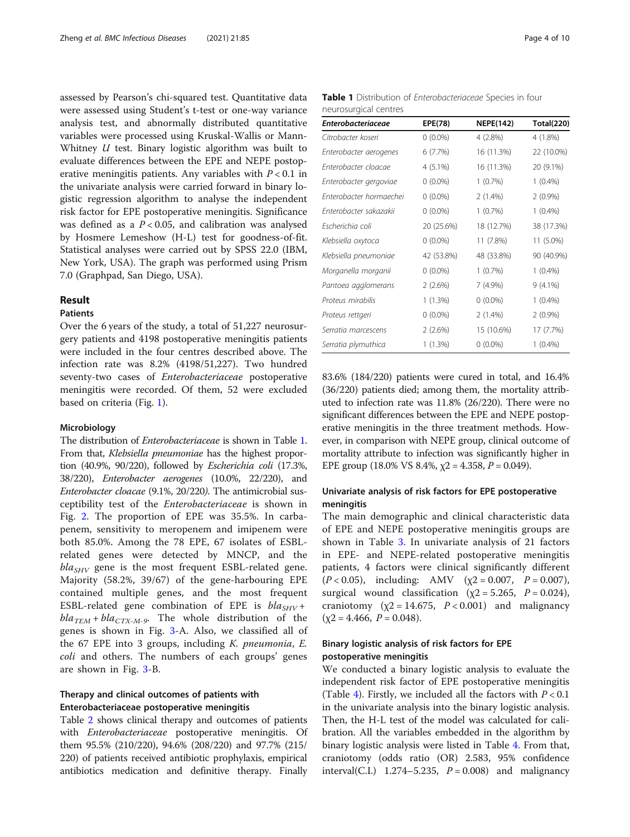assessed by Pearson's chi-squared test. Quantitative data were assessed using Student's t-test or one-way variance analysis test, and abnormally distributed quantitative variables were processed using Kruskal-Wallis or Mann-Whitney *U* test. Binary logistic algorithm was built to evaluate differences between the EPE and NEPE postoperative meningitis patients. Any variables with  $P < 0.1$  in the univariate analysis were carried forward in binary logistic regression algorithm to analyse the independent risk factor for EPE postoperative meningitis. Significance was defined as a  $P < 0.05$ , and calibration was analysed by Hosmere Lemeshow (H-L) test for goodness-of-fit. Statistical analyses were carried out by SPSS 22.0 (IBM, New York, USA). The graph was performed using Prism 7.0 (Graphpad, San Diego, USA).

## Result

## Patients

Over the 6 years of the study, a total of 51,227 neurosurgery patients and 4198 postoperative meningitis patients were included in the four centres described above. The infection rate was 8.2% (4198/51,227). Two hundred seventy-two cases of Enterobacteriaceae postoperative meningitis were recorded. Of them, 52 were excluded based on criteria (Fig. [1](#page-2-0)).

### Microbiology

The distribution of Enterobacteriaceae is shown in Table 1. From that, Klebsiella pneumoniae has the highest proportion (40.9%, 90/220), followed by Escherichia coli (17.3%, 38/220), Enterobacter aerogenes (10.0%, 22/220), and Enterobacter cloacae (9.1%, 20/220). The antimicrobial susceptibility test of the Enterobacteriaceae is shown in Fig. [2.](#page-4-0) The proportion of EPE was 35.5%. In carbapenem, sensitivity to meropenem and imipenem were both 85.0%. Among the 78 EPE, 67 isolates of ESBLrelated genes were detected by MNCP, and the  $bla<sub>SHV</sub>$  gene is the most frequent ESBL-related gene. Majority (58.2%, 39/67) of the gene-harbouring EPE contained multiple genes, and the most frequent ESBL-related gene combination of EPE is  $bla_{SHV} +$  $bla_{TEM} + bla_{CTX-M-9}$ . The whole distribution of the genes is shown in Fig. [3-](#page-4-0)A. Also, we classified all of the 67 EPE into 3 groups, including  $K$ . *pneumonia*,  $E$ . coli and others. The numbers of each groups' genes are shown in Fig. [3](#page-4-0)-B.

## Therapy and clinical outcomes of patients with Enterobacteriaceae postoperative meningitis

Table [2](#page-5-0) shows clinical therapy and outcomes of patients with Enterobacteriaceae postoperative meningitis. Of them 95.5% (210/220), 94.6% (208/220) and 97.7% (215/ 220) of patients received antibiotic prophylaxis, empirical antibiotics medication and definitive therapy. Finally

| <b>Table 1</b> Distribution of <i>Enterobacteriaceae</i> Species in four |  |  |
|--------------------------------------------------------------------------|--|--|
| neurosurgical centres                                                    |  |  |

| <b>Enterobacteriaceae</b> | EPE(78)    | <b>NEPE(142)</b> | <b>Total(220)</b> |
|---------------------------|------------|------------------|-------------------|
| Citrobacter koseri        | $0(0.0\%)$ | 4(2.8%)          | 4 (1.8%)          |
| Enterobacter aerogenes    | 6(7.7%)    | 16 (11.3%)       | 22 (10.0%)        |
| Enterobacter cloacae      | 4 (5.1%)   | 16 (11.3%)       | 20 (9.1%)         |
| Enterobacter gergoviae    | $0(0.0\%)$ | 1(0.7%)          | $1(0.4\%)$        |
| Enterobacter hormaechei   | $0(0.0\%)$ | $2(1.4\%)$       | 2(0.9%)           |
| Enterobacter sakazakii    | $0(0.0\%)$ | $1(0.7\%)$       | $1(0.4\%)$        |
| Escherichia coli          | 20 (25.6%) | 18 (12.7%)       | 38 (17.3%)        |
| Klebsiella oxytoca        | $0(0.0\%)$ | 11 (7.8%)        | 11 (5.0%)         |
| Klebsiella pneumoniae     | 42 (53.8%) | 48 (33.8%)       | 90 (40.9%)        |
| Morganella morganii       | $0(0.0\%)$ | 1(0.7%)          | $1(0.4\%)$        |
| Pantoea agglomerans       | 2(2.6%)    | 7 (4.9%)         | 9 (4.1%)          |
| Proteus mirabilis         | 1(1.3%)    | $0(0.0\%)$       | $1(0.4\%)$        |
| Proteus rettgeri          | $0(0.0\%)$ | $2(1.4\%)$       | 2(0.9%)           |
| Serratia marcescens       | 2(2.6%)    | 15 (10.6%)       | 17 (7.7%)         |
| Serratia plymuthica       | 1(1.3%)    | $0(0.0\%)$       | $1(0.4\%)$        |

83.6% (184/220) patients were cured in total, and 16.4% (36/220) patients died; among them, the mortality attributed to infection rate was 11.8% (26/220). There were no significant differences between the EPE and NEPE postoperative meningitis in the three treatment methods. However, in comparison with NEPE group, clinical outcome of mortality attribute to infection was significantly higher in EPE group (18.0% VS 8.4%,  $\chi$ 2 = 4.358, P = 0.049).

## Univariate analysis of risk factors for EPE postoperative meningitis

The main demographic and clinical characteristic data of EPE and NEPE postoperative meningitis groups are shown in Table [3.](#page-6-0) In univariate analysis of 21 factors in EPE- and NEPE-related postoperative meningitis patients, 4 factors were clinical significantly different  $(P < 0.05)$ , including: AMV ( $\chi$ 2 = 0.007, P = 0.007), surgical wound classification ( $\chi$ 2 = 5.265, P = 0.024), craniotomy ( $\chi$ 2 = 14.675,  $P < 0.001$ ) and malignancy  $(\chi 2 = 4.466, P = 0.048).$ 

## Binary logistic analysis of risk factors for EPE postoperative meningitis

We conducted a binary logistic analysis to evaluate the independent risk factor of EPE postoperative meningitis (Table [4](#page-6-0)). Firstly, we included all the factors with  $P < 0.1$ in the univariate analysis into the binary logistic analysis. Then, the H-L test of the model was calculated for calibration. All the variables embedded in the algorithm by binary logistic analysis were listed in Table [4.](#page-6-0) From that, craniotomy (odds ratio (OR) 2.583, 95% confidence interval(C.I.) 1.274–5.235,  $P = 0.008$  and malignancy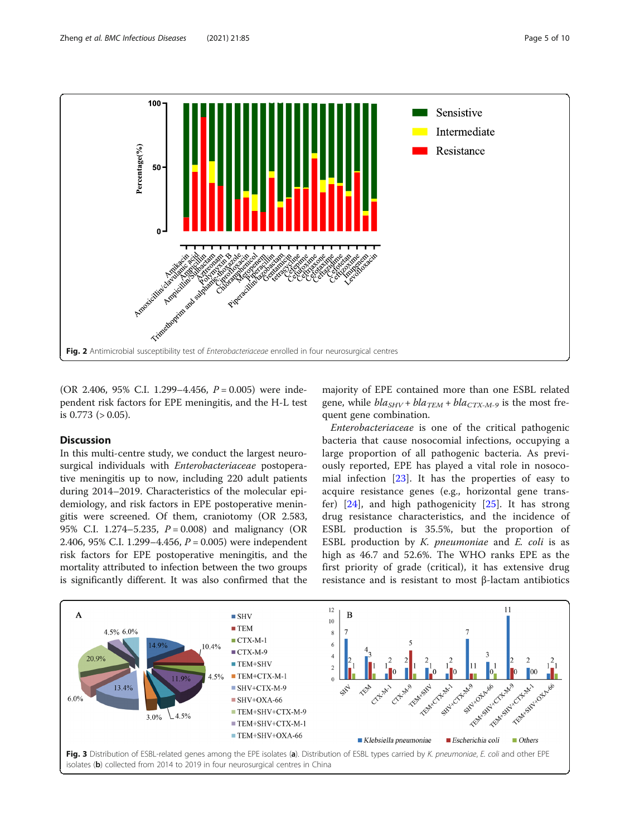<span id="page-4-0"></span>

(OR 2.406, 95% C.I. 1.299–4.456,  $P = 0.005$ ) were independent risk factors for EPE meningitis, and the H-L test is  $0.773$  ( $> 0.05$ ).

## Discussion

In this multi-centre study, we conduct the largest neurosurgical individuals with Enterobacteriaceae postoperative meningitis up to now, including 220 adult patients during 2014–2019. Characteristics of the molecular epidemiology, and risk factors in EPE postoperative meningitis were screened. Of them, craniotomy (OR 2.583, 95% C.I. 1.274–5.235,  $P = 0.008$ ) and malignancy (OR 2.406, 95% C.I. 1.299–4.456,  $P = 0.005$ ) were independent risk factors for EPE postoperative meningitis, and the mortality attributed to infection between the two groups is significantly different. It was also confirmed that the majority of EPE contained more than one ESBL related gene, while  $bla_{SHV} + bla_{TEM} + bla_{CTX-M-9}$  is the most frequent gene combination.

Enterobacteriaceae is one of the critical pathogenic bacteria that cause nosocomial infections, occupying a large proportion of all pathogenic bacteria. As previously reported, EPE has played a vital role in nosocomial infection [[23](#page-9-0)]. It has the properties of easy to acquire resistance genes (e.g., horizontal gene transfer) [\[24](#page-9-0)], and high pathogenicity [\[25](#page-9-0)]. It has strong drug resistance characteristics, and the incidence of ESBL production is 35.5%, but the proportion of ESBL production by  $K$ . pneumoniae and  $E$ . coli is as high as 46.7 and 52.6%. The WHO ranks EPE as the first priority of grade (critical), it has extensive drug resistance and is resistant to most β-lactam antibiotics

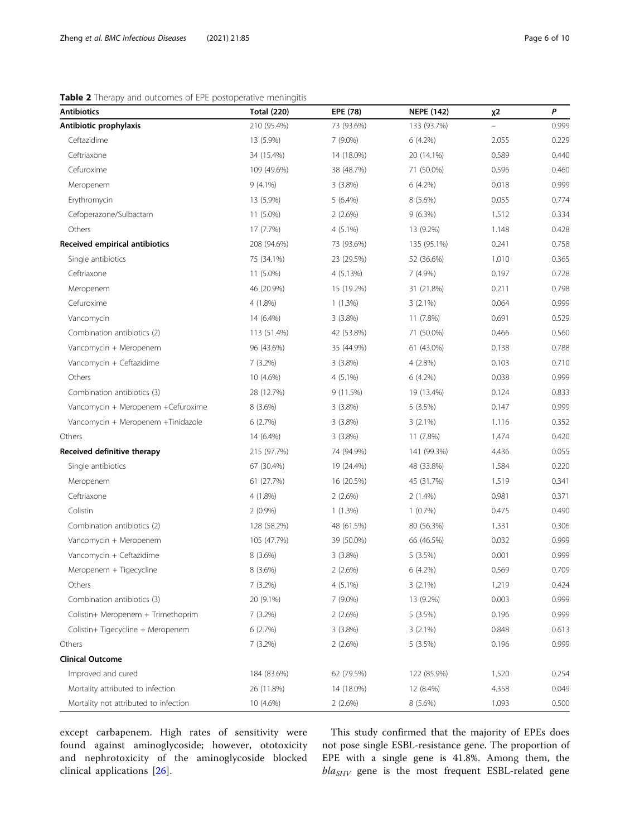<span id="page-5-0"></span>

| <b>Antibiotics</b>                    | <b>Total (220)</b> | EPE (78)   | <b>NEPE (142)</b> | χ2    | P     |
|---------------------------------------|--------------------|------------|-------------------|-------|-------|
| Antibiotic prophylaxis                | 210 (95.4%)        | 73 (93.6%) | 133 (93.7%)       |       | 0.999 |
| Ceftazidime                           | 13 (5.9%)          | $7(9.0\%)$ | 6(4.2%)           | 2.055 | 0.229 |
| Ceftriaxone                           | 34 (15.4%)         | 14 (18.0%) | 20 (14.1%)        | 0.589 | 0.440 |
| Cefuroxime                            | 109 (49.6%)        | 38 (48.7%) | 71 (50.0%)        | 0.596 | 0.460 |
| Meropenem                             | $9(4.1\%)$         | 3(3.8%)    | 6 (4.2%)          | 0.018 | 0.999 |
| Erythromycin                          | 13 (5.9%)          | 5(6.4%)    | 8 (5.6%)          | 0.055 | 0.774 |
| Cefoperazone/Sulbactam                | 11 (5.0%)          | 2(2.6%)    | $9(6.3\%)$        | 1.512 | 0.334 |
| Others                                | 17 (7.7%)          | 4 (5.1%)   | 13 (9.2%)         | 1.148 | 0.428 |
| Received empirical antibiotics        | 208 (94.6%)        | 73 (93.6%) | 135 (95.1%)       | 0.241 | 0.758 |
| Single antibiotics                    | 75 (34.1%)         | 23 (29.5%) | 52 (36.6%)        | 1.010 | 0.365 |
| Ceftriaxone                           | 11 (5.0%)          | 4 (5.13%)  | 7 (4.9%)          | 0.197 | 0.728 |
| Meropenem                             | 46 (20.9%)         | 15 (19.2%) | 31 (21.8%)        | 0.211 | 0.798 |
| Cefuroxime                            | 4 (1.8%)           | 1(1.3%)    | 3(2.1%)           | 0.064 | 0.999 |
| Vancomycin                            | 14 (6.4%)          | 3(3.8%)    | 11 (7.8%)         | 0.691 | 0.529 |
| Combination antibiotics (2)           | 113 (51.4%)        | 42 (53.8%) | 71 (50.0%)        | 0.466 | 0.560 |
| Vancomycin + Meropenem                | 96 (43.6%)         | 35 (44.9%) | 61 (43.0%)        | 0.138 | 0.788 |
| Vancomycin + Ceftazidime              | 7(3.2%)            | $3(3.8\%)$ | 4 (2.8%)          | 0.103 | 0.710 |
| Others                                | 10 (4.6%)          | $4(5.1\%)$ | $6(4.2\%)$        | 0.038 | 0.999 |
| Combination antibiotics (3)           | 28 (12.7%)         | 9 (11.5%)  | 19 (13.4%)        | 0.124 | 0.833 |
| Vancomycin + Meropenem +Cefuroxime    | 8 (3.6%)           | 3(3.8%)    | 5(3.5%)           | 0.147 | 0.999 |
| Vancomycin + Meropenem +Tinidazole    | 6(2.7%)            | 3(3.8%)    | $3(2.1\%)$        | 1.116 | 0.352 |
| Others                                | 14 (6.4%)          | 3(3.8%)    | 11 (7.8%)         | 1.474 | 0.420 |
| Received definitive therapy           | 215 (97.7%)        | 74 (94.9%) | 141 (99.3%)       | 4.436 | 0.055 |
| Single antibiotics                    | 67 (30.4%)         | 19 (24.4%) | 48 (33.8%)        | 1.584 | 0.220 |
| Meropenem                             | 61 (27.7%)         | 16 (20.5%) | 45 (31.7%)        | 1.519 | 0.341 |
| Ceftriaxone                           | 4 (1.8%)           | 2(2.6%)    | $2(1.4\%)$        | 0.981 | 0.371 |
| Colistin                              | $2(0.9\%)$         | 1(1.3%)    | 1(0.7%)           | 0.475 | 0.490 |
| Combination antibiotics (2)           | 128 (58.2%)        | 48 (61.5%) | 80 (56.3%)        | 1.331 | 0.306 |
| Vancomycin + Meropenem                | 105 (47.7%)        | 39 (50.0%) | 66 (46.5%)        | 0.032 | 0.999 |
| Vancomycin + Ceftazidime              | 8 (3.6%)           | 3(3.8%)    | 5(3.5%)           | 0.001 | 0.999 |
| Meropenem + Tigecycline               | 8 (3.6%)           | 2(2.6%)    | 6(4.2%)           | 0.569 | 0.709 |
| Others                                | 7 (3.2%)           | 4 (5.1%)   | $3(2.1\%)$        | 1.219 | 0.424 |
| Combination antibiotics (3)           | 20 (9.1%)          | 7 (9.0%)   | 13 (9.2%)         | 0.003 | 0.999 |
| Colistin+ Meropenem + Trimethoprim    | 7(3.2%)            | 2(2.6%)    | 5(3.5%)           | 0.196 | 0.999 |
| Colistin+Tigecycline + Meropenem      | 6(2.7%)            | 3(3.8%)    | $3(2.1\%)$        | 0.848 | 0.613 |
| Others                                | 7(3.2%)            | 2(2.6%)    | 5(3.5%)           | 0.196 | 0.999 |
| <b>Clinical Outcome</b>               |                    |            |                   |       |       |
| Improved and cured                    | 184 (83.6%)        | 62 (79.5%) | 122 (85.9%)       | 1.520 | 0.254 |
| Mortality attributed to infection     | 26 (11.8%)         | 14 (18.0%) | 12 (8.4%)         | 4.358 | 0.049 |
| Mortality not attributed to infection | 10 (4.6%)          | 2(2.6%)    | 8 (5.6%)          | 1.093 | 0.500 |

except carbapenem. High rates of sensitivity were found against aminoglycoside; however, ototoxicity and nephrotoxicity of the aminoglycoside blocked clinical applications [\[26](#page-9-0)].

This study confirmed that the majority of EPEs does not pose single ESBL-resistance gene. The proportion of EPE with a single gene is 41.8%. Among them, the  $bla_{SHV}$  gene is the most frequent ESBL-related gene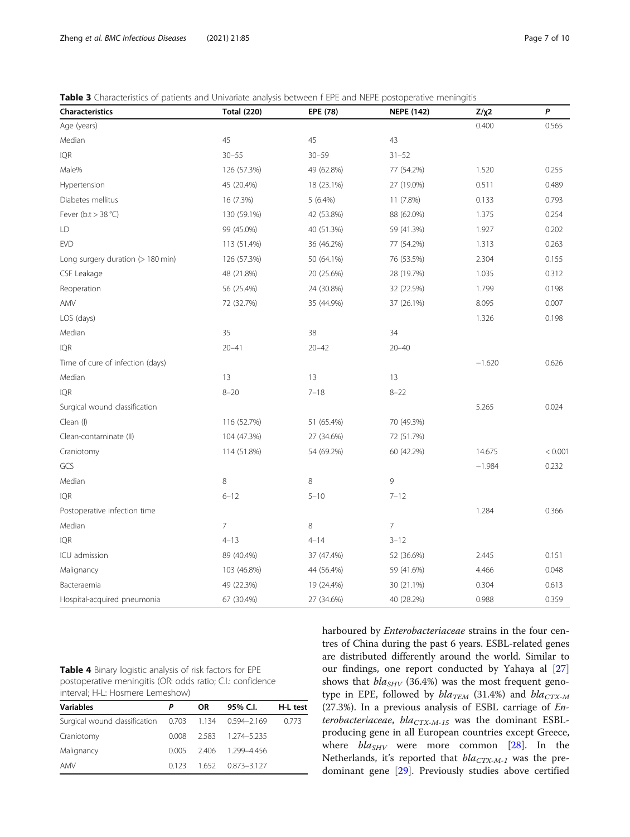<span id="page-6-0"></span>Table 3 Characteristics of patients and Univariate analysis between f EPE and NEPE postoperative meningitis

| Characteristics                   | <b>Total (220)</b> | EPE (78)   | <b>NEPE (142)</b> | $Z/\chi2$ | P       |
|-----------------------------------|--------------------|------------|-------------------|-----------|---------|
| Age (years)                       |                    |            |                   | 0.400     | 0.565   |
| Median                            | 45                 | 45         | 43                |           |         |
| IQR                               | $30 - 55$          | $30 - 59$  | $31 - 52$         |           |         |
| Male%                             | 126 (57.3%)        | 49 (62.8%) | 77 (54.2%)        | 1.520     | 0.255   |
| Hypertension                      | 45 (20.4%)         | 18 (23.1%) | 27 (19.0%)        | 0.511     | 0.489   |
| Diabetes mellitus                 | 16 (7.3%)          | $5(6.4\%)$ | 11 (7.8%)         | 0.133     | 0.793   |
| Fever ( $b.t > 38 °C$ )           | 130 (59.1%)        | 42 (53.8%) | 88 (62.0%)        | 1.375     | 0.254   |
| LD                                | 99 (45.0%)         | 40 (51.3%) | 59 (41.3%)        | 1.927     | 0.202   |
| <b>EVD</b>                        | 113 (51.4%)        | 36 (46.2%) | 77 (54.2%)        | 1.313     | 0.263   |
| Long surgery duration (> 180 min) | 126 (57.3%)        | 50 (64.1%) | 76 (53.5%)        | 2.304     | 0.155   |
| CSF Leakage                       | 48 (21.8%)         | 20 (25.6%) | 28 (19.7%)        | 1.035     | 0.312   |
| Reoperation                       | 56 (25.4%)         | 24 (30.8%) | 32 (22.5%)        | 1.799     | 0.198   |
| AMV                               | 72 (32.7%)         | 35 (44.9%) | 37 (26.1%)        | 8.095     | 0.007   |
| LOS (days)                        |                    |            |                   | 1.326     | 0.198   |
| Median                            | 35                 | 38         | 34                |           |         |
| IQR                               | $20 - 41$          | $20 - 42$  | $20 - 40$         |           |         |
| Time of cure of infection (days)  |                    |            |                   | $-1.620$  | 0.626   |
| Median                            | 13                 | 13         | 13                |           |         |
| IQR                               | $8 - 20$           | $7 - 18$   | $8 - 22$          |           |         |
| Surgical wound classification     |                    |            |                   | 5.265     | 0.024   |
| Clean (I)                         | 116 (52.7%)        | 51 (65.4%) | 70 (49.3%)        |           |         |
| Clean-contaminate (II)            | 104 (47.3%)        | 27 (34.6%) | 72 (51.7%)        |           |         |
| Craniotomy                        | 114 (51.8%)        | 54 (69.2%) | 60 (42.2%)        | 14.675    | < 0.001 |
| GCS                               |                    |            |                   | $-1.984$  | 0.232   |
| Median                            | 8                  | $\,8\,$    | 9                 |           |         |
| <b>IQR</b>                        | $6 - 12$           | $5 - 10$   | $7 - 12$          |           |         |
| Postoperative infection time      |                    |            |                   | 1.284     | 0.366   |
| Median                            | $\overline{7}$     | 8          | 7                 |           |         |
| <b>IQR</b>                        | $4 - 13$           | $4 - 14$   | $3 - 12$          |           |         |
| ICU admission                     | 89 (40.4%)         | 37 (47.4%) | 52 (36.6%)        | 2.445     | 0.151   |
| Malignancy                        | 103 (46.8%)        | 44 (56.4%) | 59 (41.6%)        | 4.466     | 0.048   |
| Bacteraemia                       | 49 (22.3%)         | 19 (24.4%) | 30 (21.1%)        | 0.304     | 0.613   |
| Hospital-acquired pneumonia       | 67 (30.4%)         | 27 (34.6%) | 40 (28.2%)        | 0.988     | 0.359   |

| <b>Table 4</b> Binary logistic analysis of risk factors for EPE |  |
|-----------------------------------------------------------------|--|
| postoperative meningitis (OR: odds ratio; C.I.: confidence      |  |
| interval: H-L: Hosmere Lemeshow)                                |  |

| <b>Variables</b>                                      |       | OR. | 95% C.I.                  | H-L test |
|-------------------------------------------------------|-------|-----|---------------------------|----------|
| Surgical wound classification 0.703 1.134 0.594-2.169 |       |     |                           | 0.773    |
| Craniotomy                                            |       |     | 0.008 2.583 1.274-5.235   |          |
| Malignancy                                            |       |     | $0.005$ 2.406 1.299-4.456 |          |
| AMV                                                   | 0.123 |     | 1.652 0.873-3.127         |          |

harboured by Enterobacteriaceae strains in the four centres of China during the past 6 years. ESBL-related genes are distributed differently around the world. Similar to our findings, one report conducted by Yahaya al [[27](#page-9-0)] shows that  $bla_{SHV}$  (36.4%) was the most frequent genotype in EPE, followed by  $bla_{TEM}$  (31.4%) and  $bla_{CTX-M}$ (27.3%). In a previous analysis of ESBL carriage of Enterobacteriaceae,  $bla_{CTX-M-15}$  was the dominant ESBLproducing gene in all European countries except Greece, where  $bla_{SHV}$  were more common [\[28](#page-9-0)]. In the Netherlands, it's reported that  $bla_{CTX-M-1}$  was the predominant gene [\[29](#page-9-0)]. Previously studies above certified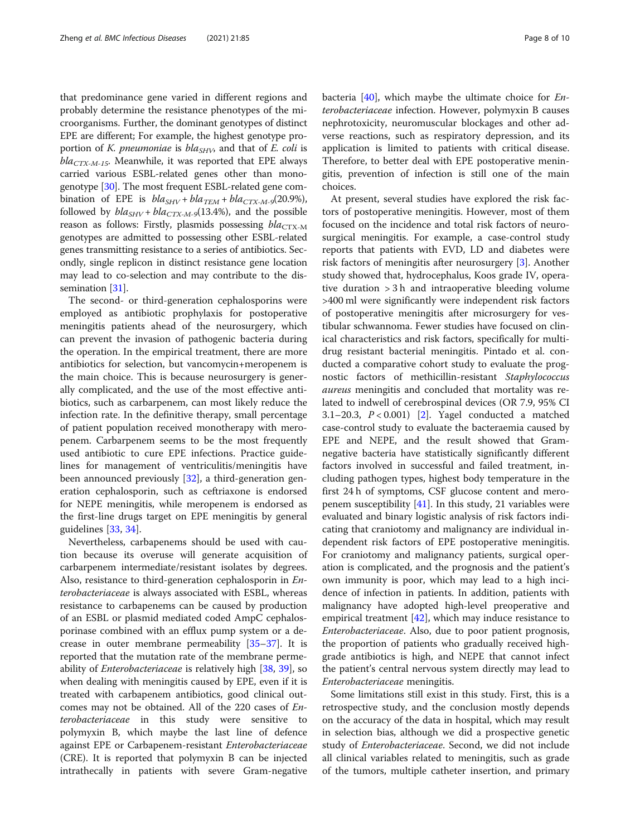that predominance gene varied in different regions and probably determine the resistance phenotypes of the microorganisms. Further, the dominant genotypes of distinct EPE are different; For example, the highest genotype proportion of K. pneumoniae is  $bla_{SHV}$ , and that of E. coli is  $bla_{CTX-M-15}$ . Meanwhile, it was reported that EPE always carried various ESBL-related genes other than monogenotype [[30](#page-9-0)]. The most frequent ESBL-related gene combination of EPE is  $bla_{SHV} + bla_{TEM} + bla_{CTX-M-9}(20.9\%),$ followed by  $bla_{SHV} + bla_{CTX-M-9}(13.4\%)$ , and the possible reason as follows: Firstly, plasmids possessing  $bla_{\text{CTX-M}}$ genotypes are admitted to possessing other ESBL-related genes transmitting resistance to a series of antibiotics. Secondly, single replicon in distinct resistance gene location may lead to co-selection and may contribute to the dis-semination [[31](#page-9-0)].

The second- or third-generation cephalosporins were employed as antibiotic prophylaxis for postoperative meningitis patients ahead of the neurosurgery, which can prevent the invasion of pathogenic bacteria during the operation. In the empirical treatment, there are more antibiotics for selection, but vancomycin+meropenem is the main choice. This is because neurosurgery is generally complicated, and the use of the most effective antibiotics, such as carbarpenem, can most likely reduce the infection rate. In the definitive therapy, small percentage of patient population received monotherapy with meropenem. Carbarpenem seems to be the most frequently used antibiotic to cure EPE infections. Practice guidelines for management of ventriculitis/meningitis have been announced previously [[32\]](#page-9-0), a third-generation generation cephalosporin, such as ceftriaxone is endorsed for NEPE meningitis, while meropenem is endorsed as the first-line drugs target on EPE meningitis by general guidelines [[33](#page-9-0), [34](#page-9-0)].

Nevertheless, carbapenems should be used with caution because its overuse will generate acquisition of carbarpenem intermediate/resistant isolates by degrees. Also, resistance to third-generation cephalosporin in Enterobacteriaceae is always associated with ESBL, whereas resistance to carbapenems can be caused by production of an ESBL or plasmid mediated coded AmpC cephalosporinase combined with an efflux pump system or a decrease in outer membrane permeability [\[35](#page-9-0)–[37\]](#page-9-0). It is reported that the mutation rate of the membrane permeability of Enterobacteriaceae is relatively high [\[38](#page-9-0), [39](#page-9-0)], so when dealing with meningitis caused by EPE, even if it is treated with carbapenem antibiotics, good clinical outcomes may not be obtained. All of the 220 cases of Enterobacteriaceae in this study were sensitive to polymyxin B, which maybe the last line of defence against EPE or Carbapenem-resistant Enterobacteriaceae (CRE). It is reported that polymyxin B can be injected intrathecally in patients with severe Gram-negative bacteria  $[40]$  $[40]$ , which maybe the ultimate choice for *En*terobacteriaceae infection. However, polymyxin B causes nephrotoxicity, neuromuscular blockages and other adverse reactions, such as respiratory depression, and its application is limited to patients with critical disease. Therefore, to better deal with EPE postoperative meningitis, prevention of infection is still one of the main choices.

At present, several studies have explored the risk factors of postoperative meningitis. However, most of them focused on the incidence and total risk factors of neurosurgical meningitis. For example, a case-control study reports that patients with EVD, LD and diabetes were risk factors of meningitis after neurosurgery [\[3](#page-8-0)]. Another study showed that, hydrocephalus, Koos grade IV, operative duration > 3 h and intraoperative bleeding volume >400 ml were significantly were independent risk factors of postoperative meningitis after microsurgery for vestibular schwannoma. Fewer studies have focused on clinical characteristics and risk factors, specifically for multidrug resistant bacterial meningitis. Pintado et al. conducted a comparative cohort study to evaluate the prognostic factors of methicillin-resistant Staphylococcus aureus meningitis and concluded that mortality was related to indwell of cerebrospinal devices (OR 7.9, 95% CI 3.1–20.3,  $P < 0.001$  [[2\]](#page-8-0). Yagel conducted a matched case-control study to evaluate the bacteraemia caused by EPE and NEPE, and the result showed that Gramnegative bacteria have statistically significantly different factors involved in successful and failed treatment, including pathogen types, highest body temperature in the first 24 h of symptoms, CSF glucose content and meropenem susceptibility  $[41]$ . In this study, 21 variables were evaluated and binary logistic analysis of risk factors indicating that craniotomy and malignancy are individual independent risk factors of EPE postoperative meningitis. For craniotomy and malignancy patients, surgical operation is complicated, and the prognosis and the patient's own immunity is poor, which may lead to a high incidence of infection in patients. In addition, patients with malignancy have adopted high-level preoperative and empirical treatment  $[42]$  $[42]$ , which may induce resistance to Enterobacteriaceae. Also, due to poor patient prognosis, the proportion of patients who gradually received highgrade antibiotics is high, and NEPE that cannot infect the patient's central nervous system directly may lead to Enterobacteriaceae meningitis.

Some limitations still exist in this study. First, this is a retrospective study, and the conclusion mostly depends on the accuracy of the data in hospital, which may result in selection bias, although we did a prospective genetic study of Enterobacteriaceae. Second, we did not include all clinical variables related to meningitis, such as grade of the tumors, multiple catheter insertion, and primary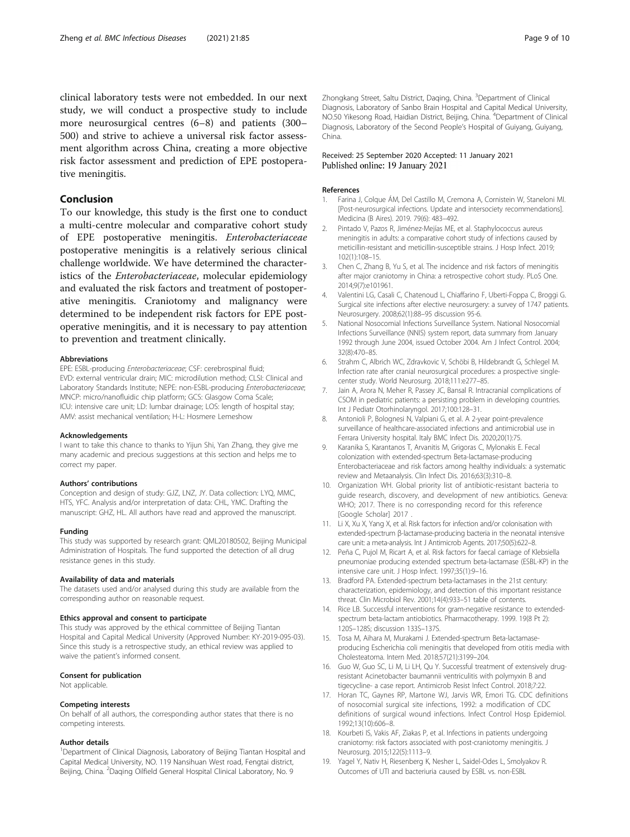<span id="page-8-0"></span>clinical laboratory tests were not embedded. In our next study, we will conduct a prospective study to include more neurosurgical centres (6–8) and patients (300– 500) and strive to achieve a universal risk factor assessment algorithm across China, creating a more objective risk factor assessment and prediction of EPE postoperative meningitis.

#### Conclusion

To our knowledge, this study is the first one to conduct a multi-centre molecular and comparative cohort study of EPE postoperative meningitis. Enterobacteriaceae postoperative meningitis is a relatively serious clinical challenge worldwide. We have determined the characteristics of the Enterobacteriaceae, molecular epidemiology and evaluated the risk factors and treatment of postoperative meningitis. Craniotomy and malignancy were determined to be independent risk factors for EPE postoperative meningitis, and it is necessary to pay attention to prevention and treatment clinically.

#### Abbreviations

EPE: ESBL-producing Enterobacteriaceae; CSF: cerebrospinal fluid; EVD: external ventricular drain; MIC: microdilution method; CLSI: Clinical and Laboratory Standards Institute; NEPE: non-ESBL-producing Enterobacteriaceae; MNCP: micro/nanofluidic chip platform; GCS: Glasgow Coma Scale; ICU: intensive care unit; LD: lumbar drainage; LOS: length of hospital stay; AMV: assist mechanical ventilation; H-L: Hosmere Lemeshow

#### Acknowledgements

I want to take this chance to thanks to Yijun Shi, Yan Zhang, they give me many academic and precious suggestions at this section and helps me to correct my paper.

#### Authors' contributions

Conception and design of study: GJZ, LNZ, JY. Data collection: LYQ, MMC, HTS, YFC. Analysis and/or interpretation of data: CHL, YMC. Drafting the manuscript: GHZ, HL. All authors have read and approved the manuscript.

#### Funding

This study was supported by research grant: QML20180502, Beijing Municipal Administration of Hospitals. The fund supported the detection of all drug resistance genes in this study.

#### Availability of data and materials

The datasets used and/or analysed during this study are available from the corresponding author on reasonable request.

#### Ethics approval and consent to participate

This study was approved by the ethical committee of Beijing Tiantan Hospital and Capital Medical University (Approved Number: KY-2019-095-03). Since this study is a retrospective study, an ethical review was applied to waive the patient's informed consent.

#### Consent for publication

Not applicable.

#### Competing interests

On behalf of all authors, the corresponding author states that there is no competing interests.

#### Author details

<sup>1</sup>Department of Clinical Diagnosis, Laboratory of Beijing Tiantan Hospital and Capital Medical University, NO. 119 Nansihuan West road, Fengtai district, Beijing, China. <sup>2</sup>Daqing Oilfield General Hospital Clinical Laboratory, No. 9

Zhongkang Street, Saltu District, Daqing, China. <sup>3</sup>Department of Clinical Diagnosis, Laboratory of Sanbo Brain Hospital and Capital Medical University, NO.50 Yikesong Road, Haidian District, Beijing, China. <sup>4</sup>Department of Clinical Diagnosis, Laboratory of the Second People's Hospital of Guiyang, Guiyang, China.

#### Received: 25 September 2020 Accepted: 11 January 2021 Published online: 19 January 2021

#### References

- 1. Farina J, Colque ÁM, Del Castillo M, Cremona A, Cornistein W, Staneloni MI. [Post-neurosurgical infections. Update and intersociety recommendations]. Medicina (B Aires). 2019. 79(6): 483–492.
- 2. Pintado V, Pazos R, Jiménez-Mejías ME, et al. Staphylococcus aureus meningitis in adults: a comparative cohort study of infections caused by meticillin-resistant and meticillin-susceptible strains. J Hosp Infect. 2019; 102(1):108–15.
- 3. Chen C, Zhang B, Yu S, et al. The incidence and risk factors of meningitis after major craniotomy in China: a retrospective cohort study. PLoS One. 2014;9(7):e101961.
- 4. Valentini LG, Casali C, Chatenoud L, Chiaffarino F, Uberti-Foppa C, Broggi G. Surgical site infections after elective neurosurgery: a survey of 1747 patients. Neurosurgery. 2008;62(1):88–95 discussion 95-6.
- 5. National Nosocomial Infections Surveillance System. National Nosocomial Infections Surveillance (NNIS) system report, data summary from January 1992 through June 2004, issued October 2004. Am J Infect Control. 2004; 32(8):470–85.
- 6. Strahm C, Albrich WC, Zdravkovic V, Schöbi B, Hildebrandt G, Schlegel M. Infection rate after cranial neurosurgical procedures: a prospective singlecenter study. World Neurosurg. 2018;111:e277–85.
- 7. Jain A, Arora N, Meher R, Passey JC, Bansal R. Intracranial complications of CSOM in pediatric patients: a persisting problem in developing countries. Int J Pediatr Otorhinolaryngol. 2017;100:128–31.
- 8. Antonioli P, Bolognesi N, Valpiani G, et al. A 2-year point-prevalence surveillance of healthcare-associated infections and antimicrobial use in Ferrara University hospital. Italy BMC Infect Dis. 2020;20(1):75.
- 9. Karanika S, Karantanos T, Arvanitis M, Grigoras C, Mylonakis E. Fecal colonization with extended-spectrum Beta-lactamase-producing Enterobacteriaceae and risk factors among healthy individuals: a systematic review and Metaanalysis. Clin Infect Dis. 2016;63(3):310–8.
- 10. Organization WH. Global priority list of antibiotic-resistant bacteria to guide research, discovery, and development of new antibiotics. Geneva: WHO; 2017. There is no corresponding record for this reference [Google Scholar] 2017 .
- 11. Li X, Xu X, Yang X, et al. Risk factors for infection and/or colonisation with extended-spectrum β-lactamase-producing bacteria in the neonatal intensive care unit: a meta-analysis. Int J Antimicrob Agents. 2017;50(5):622–8.
- 12. Peña C, Pujol M, Ricart A, et al. Risk factors for faecal carriage of Klebsiella pneumoniae producing extended spectrum beta-lactamase (ESBL-KP) in the intensive care unit. J Hosp Infect. 1997;35(1):9–16.
- 13. Bradford PA. Extended-spectrum beta-lactamases in the 21st century: characterization, epidemiology, and detection of this important resistance threat. Clin Microbiol Rev. 2001;14(4):933–51 table of contents.
- 14. Rice LB. Successful interventions for gram-negative resistance to extendedspectrum beta-lactam antiobiotics. Pharmacotherapy. 1999. 19(8 Pt 2): 120S–128S; discussion 133S–137S.
- 15. Tosa M, Aihara M, Murakami J. Extended-spectrum Beta-lactamaseproducing Escherichia coli meningitis that developed from otitis media with Cholesteatoma. Intern Med. 2018;57(21):3199–204.
- 16. Guo W, Guo SC, Li M, Li LH, Qu Y. Successful treatment of extensively drugresistant Acinetobacter baumannii ventriculitis with polymyxin B and tigecycline- a case report. Antimicrob Resist Infect Control. 2018;7:22.
- 17. Horan TC, Gaynes RP, Martone WJ, Jarvis WR, Emori TG. CDC definitions of nosocomial surgical site infections, 1992: a modification of CDC definitions of surgical wound infections. Infect Control Hosp Epidemiol. 1992;13(10):606–8.
- 18. Kourbeti IS, Vakis AF, Ziakas P, et al. Infections in patients undergoing craniotomy: risk factors associated with post-craniotomy meningitis. J Neurosurg. 2015;122(5):1113–9.
- 19. Yagel Y, Nativ H, Riesenberg K, Nesher L, Saidel-Odes L, Smolyakov R. Outcomes of UTI and bacteriuria caused by ESBL vs. non-ESBL